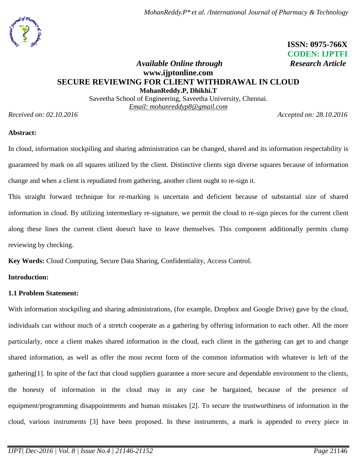

 **ISSN: 0975-766X CODEN: IJPTFI**

### *Available Online through* Research Article **www.ijptonline.com SECURE REVIEWING FOR CLIENT WITHDRAWAL IN CLOUD MohanReddy.P, Dhikhi.T**

Saveetha School of Engineering, Saveetha University, Chennai. *Email: [mohanreddyp8@gmail.com](mailto:mohanreddyp8@gmail.com)*

*Received on: 02.10.2016 Accepted on: 28.10.2016*

# **Abstract:**

In cloud, information stockpiling and sharing administration can be changed, shared and its information respectability is guaranteed by mark on all squares utilized by the client. Distinctive clients sign diverse squares because of information change and when a client is repudiated from gathering, another client ought to re-sign it.

This straight forward technique for re-marking is uncertain and deficient because of substantial size of shared information in cloud. By utilizing intermediary re-signature, we permit the cloud to re-sign pieces for the current client along these lines the current client doesn't have to leave themselves. This component additionally permits clump reviewing by checking.

**Key Words:** Cloud Computing, Secure Data Sharing, Confidentiality, Access Control.

# **Introduction:**

# **1.1 Problem Statement:**

With information stockpiling and sharing administrations, (for example, Dropbox and Google Drive) gave by the cloud, individuals can without much of a stretch cooperate as a gathering by offering information to each other. All the more particularly, once a client makes shared information in the cloud, each client in the gathering can get to and change shared information, as well as offer the most recent form of the common information with whatever is left of the gathering[1]. In spite of the fact that cloud suppliers guarantee a more secure and dependable environment to the clients, the honesty of information in the cloud may in any case be bargained, because of the presence of equipment/programming disappointments and human mistakes [2]. To secure the trustworthiness of information in the cloud, various instruments [3] have been proposed. In these instruments, a mark is appended to every piece in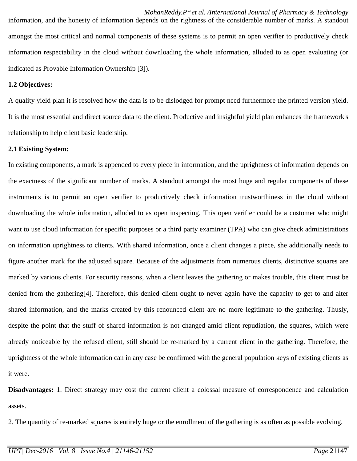information, and the honesty of information depends on the rightness of the considerable number of marks. A standout amongst the most critical and normal components of these systems is to permit an open verifier to productively check information respectability in the cloud without downloading the whole information, alluded to as open evaluating (or indicated as Provable Information Ownership [3]).

#### **1.2 Objectives:**

A quality yield plan it is resolved how the data is to be dislodged for prompt need furthermore the printed version yield. It is the most essential and direct source data to the client. Productive and insightful yield plan enhances the framework's relationship to help client basic leadership.

#### **2.1 Existing System:**

In existing components, a mark is appended to every piece in information, and the uprightness of information depends on the exactness of the significant number of marks. A standout amongst the most huge and regular components of these instruments is to permit an open verifier to productively check information trustworthiness in the cloud without downloading the whole information, alluded to as open inspecting. This open verifier could be a customer who might want to use cloud information for specific purposes or a third party examiner (TPA) who can give check administrations on information uprightness to clients. With shared information, once a client changes a piece, she additionally needs to figure another mark for the adjusted square. Because of the adjustments from numerous clients, distinctive squares are marked by various clients. For security reasons, when a client leaves the gathering or makes trouble, this client must be denied from the gathering[4]. Therefore, this denied client ought to never again have the capacity to get to and alter shared information, and the marks created by this renounced client are no more legitimate to the gathering. Thusly, despite the point that the stuff of shared information is not changed amid client repudiation, the squares, which were already noticeable by the refused client, still should be re-marked by a current client in the gathering. Therefore, the uprightness of the whole information can in any case be confirmed with the general population keys of existing clients as it were.

**Disadvantages:** 1. Direct strategy may cost the current client a colossal measure of correspondence and calculation assets.

2. The quantity of re-marked squares is entirely huge or the enrollment of the gathering is as often as possible evolving.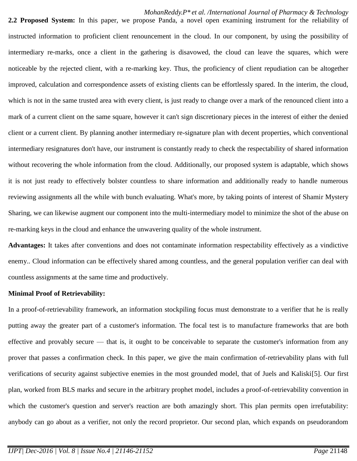**2.2 Proposed System:** In this paper, we propose Panda, a novel open examining instrument for the reliability of instructed information to proficient client renouncement in the cloud. In our component, by using the possibility of intermediary re-marks, once a client in the gathering is disavowed, the cloud can leave the squares, which were noticeable by the rejected client, with a re-marking key. Thus, the proficiency of client repudiation can be altogether improved, calculation and correspondence assets of existing clients can be effortlessly spared. In the interim, the cloud, which is not in the same trusted area with every client, is just ready to change over a mark of the renounced client into a mark of a current client on the same square, however it can't sign discretionary pieces in the interest of either the denied client or a current client. By planning another intermediary re-signature plan with decent properties, which conventional intermediary resignatures don't have, our instrument is constantly ready to check the respectability of shared information without recovering the whole information from the cloud. Additionally, our proposed system is adaptable, which shows it is not just ready to effectively bolster countless to share information and additionally ready to handle numerous reviewing assignments all the while with bunch evaluating. What's more, by taking points of interest of Shamir Mystery Sharing, we can likewise augment our component into the multi-intermediary model to minimize the shot of the abuse on re-marking keys in the cloud and enhance the unwavering quality of the whole instrument.

**Advantages:** It takes after conventions and does not contaminate information respectability effectively as a vindictive enemy.. Cloud information can be effectively shared among countless, and the general population verifier can deal with countless assignments at the same time and productively.

#### **Minimal Proof of Retrievability:**

In a proof-of-retrievability framework, an information stockpiling focus must demonstrate to a verifier that he is really putting away the greater part of a customer's information. The focal test is to manufacture frameworks that are both effective and provably secure — that is, it ought to be conceivable to separate the customer's information from any prover that passes a confirmation check. In this paper, we give the main confirmation of-retrievability plans with full verifications of security against subjective enemies in the most grounded model, that of Juels and Kaliski[5]. Our first plan, worked from BLS marks and secure in the arbitrary prophet model, includes a proof-of-retrievability convention in which the customer's question and server's reaction are both amazingly short. This plan permits open irrefutability: anybody can go about as a verifier, not only the record proprietor. Our second plan, which expands on pseudorandom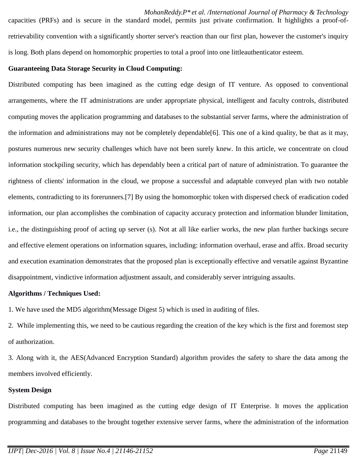capacities (PRFs) and is secure in the standard model, permits just private confirmation. It highlights a proof-ofretrievability convention with a significantly shorter server's reaction than our first plan, however the customer's inquiry is long. Both plans depend on homomorphic properties to total a proof into one littleauthenticator esteem.

#### **Guaranteeing Data Storage Security in Cloud Computing:**

Distributed computing has been imagined as the cutting edge design of IT venture. As opposed to conventional arrangements, where the IT administrations are under appropriate physical, intelligent and faculty controls, distributed computing moves the application programming and databases to the substantial server farms, where the administration of the information and administrations may not be completely dependable [6]. This one of a kind quality, be that as it may, postures numerous new security challenges which have not been surely knew. In this article, we concentrate on cloud information stockpiling security, which has dependably been a critical part of nature of administration. To guarantee the rightness of clients' information in the cloud, we propose a successful and adaptable conveyed plan with two notable elements, contradicting to its forerunners.[7] By using the homomorphic token with dispersed check of eradication coded information, our plan accomplishes the combination of capacity accuracy protection and information blunder limitation, i.e., the distinguishing proof of acting up server (s). Not at all like earlier works, the new plan further backings secure and effective element operations on information squares, including: information overhaul, erase and affix. Broad security and execution examination demonstrates that the proposed plan is exceptionally effective and versatile against Byzantine disappointment, vindictive information adjustment assault, and considerably server intriguing assaults.

### **Algorithms / Techniques Used:**

1. We have used the MD5 algorithm(Message Digest 5) which is used in auditing of files.

2. While implementing this, we need to be cautious regarding the creation of the key which is the first and foremost step of authorization.

3. Along with it, the AES(Advanced Encryption Standard) algorithm provides the safety to share the data among the members involved efficiently.

# **System Design**

Distributed computing has been imagined as the cutting edge design of IT Enterprise. It moves the application programming and databases to the brought together extensive server farms, where the administration of the information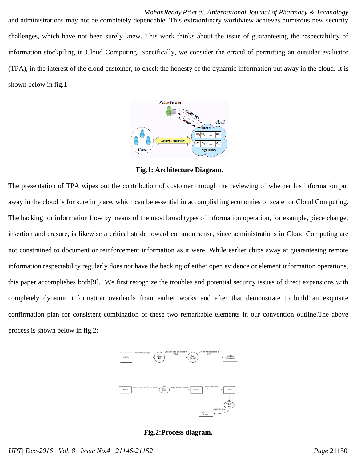*MohanReddy.P\* et al. /International Journal of Pharmacy & Technology*

and administrations may not be completely dependable. This extraordinary worldview achieves numerous new security challenges, which have not been surely knew. This work thinks about the issue of guaranteeing the respectability of information stockpiling in Cloud Computing. Specifically, we consider the errand of permitting an outsider evaluator (TPA), in the interest of the cloud customer, to check the honesty of the dynamic information put away in the cloud. It is shown below in fig.1



**Fig.1: Architecture Diagram.**

The presentation of TPA wipes out the contribution of customer through the reviewing of whether his information put away in the cloud is for sure in place, which can be essential in accomplishing economies of scale for Cloud Computing. The backing for information flow by means of the most broad types of information operation, for example, piece change, insertion and erasure, is likewise a critical stride toward common sense, since administrations in Cloud Computing are not constrained to document or reinforcement information as it were. While earlier chips away at guaranteeing remote information respectability regularly does not have the backing of either open evidence or element information operations, this paper accomplishes both[9]. We first recognize the troubles and potential security issues of direct expansions with completely dynamic information overhauls from earlier works and after that demonstrate to build an exquisite confirmation plan for consistent combination of these two remarkable elements in our convention outline.The above process is shown below in fig.2:





**Fig.2:Process diagram.**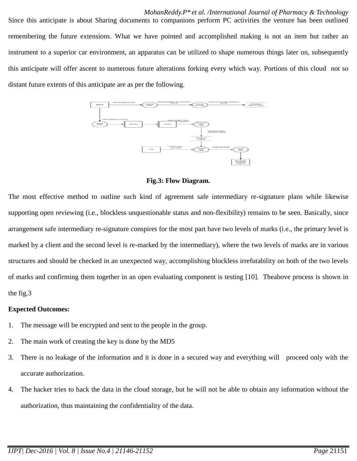Since this anticipate is about Sharing documents to companions perform PC activities the venture has been outlined remembering the future extensions. What we have pointed and accomplished making is not an item but rather an instrument to a superior car environment, an apparatus can be utilized to shape numerous things later on, subsequently this anticipate will offer ascent to numerous future alterations forking every which way. Portions of this cloud not so



**Fig.3: Flow Diagram.**

The most effective method to outline such kind of agreement safe intermediary re-signature plans while likewise supporting open reviewing (i.e., blockless unquestionable status and non-flexibility) remains to be seen. Basically, since arrangement safe intermediary re-signature conspires for the most part have two levels of marks (i.e., the primary level is marked by a client and the second level is re-marked by the intermediary), where the two levels of marks are in various structures and should be checked in an unexpected way, accomplishing blockless irrefutability on both of the two levels of marks and confirming them together in an open evaluating component is testing [10]. Theabove process is shown in the fig.3

### **Expected Outcomes:**

- 1. The message will be encrypted and sent to the people in the group.
- 2. The main work of creating the key is done by the MD5
- 3. There is no leakage of the information and it is done in a secured way and everything will proceed only with the accurate authorization.
- 4. The hacker tries to hack the data in the cloud storage, but he will not be able to obtain any information without the authorization, thus maintaining the confidentiality of the data.